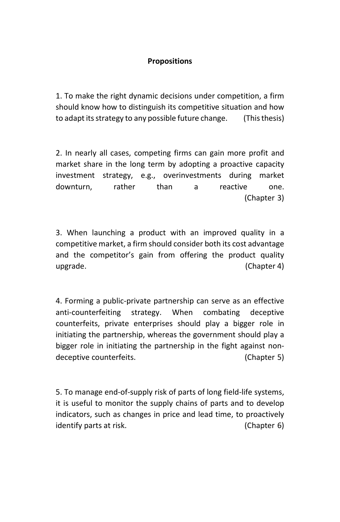## **Propositions**

1. To make the right dynamic decisions under competition, a firm should know how to distinguish its competitive situation and how to adapt its strategy to any possible future change. (This thesis)

2. In nearly all cases, competing firms can gain more profit and market share in the long term by adopting a proactive capacity investment strategy, e.g., overinvestments during market downturn, rather than a reactive one. (Chapter 3)

3. When launching a product with an improved quality in a competitive market, a firm should consider both its cost advantage and the competitor's gain from offering the product quality upgrade. (Chapter 4)

4. Forming a public-private partnership can serve as an effective anti-counterfeiting strategy. When combating deceptive counterfeits, private enterprises should play a bigger role in initiating the partnership, whereas the government should play a bigger role in initiating the partnership in the fight against nondeceptive counterfeits. (Chapter 5)

5. To manage end-of-supply risk of parts of long field-life systems, it is useful to monitor the supply chains of parts and to develop indicators, such as changes in price and lead time, to proactively identify parts at risk. (Chapter 6)